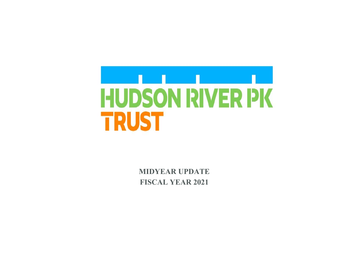

 **MIDYEAR UPDATE FISCAL YEAR 2021**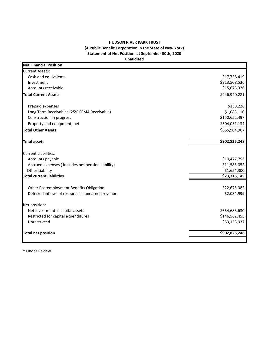## **HUDSON RIVER PARK TRUST (A Public Benefit Corporation in the State of New York) Statement of Net Position at September 30th, 2020 unaudited**

| <b>Net Financial Position</b>                     |               |
|---------------------------------------------------|---------------|
| <b>Current Assets:</b>                            |               |
| Cash and equivalents                              | \$17,738,419  |
| Investment                                        | \$213,508,536 |
| Accounts receivable                               | \$15,673,326  |
| <b>Total Current Assets</b>                       | \$246,920,281 |
| Prepaid expenses                                  | \$138,226     |
| Long Term Receivables (25% FEMA Receivable)       | \$1,083,110   |
| Construction in progress                          | \$150,652,497 |
| Property and equipment, net                       | \$504,031,134 |
| <b>Total Other Assets</b>                         | \$655,904,967 |
| <b>Total assets</b>                               | \$902,825,248 |
| <b>Current Liabilities:</b>                       |               |
| Accounts payable                                  | \$10,477,793  |
| Accrued expenses (Includes net pension liability) | \$11,583,052  |
| <b>Other Liability</b>                            | \$1,654,300   |
| <b>Total current liabilities</b>                  | \$23,715,145  |
| Other Postemployment Benefits Obligation          | \$22,675,082  |
| Deferred inflows of resources - unearned revenue  | \$2,034,999   |
| Net position:                                     |               |
| Net investment in capital assets                  | \$654,683,630 |
| Restricted for capital expenditures               | \$146,562,455 |
| Unrestricted                                      | \$53,153,937  |
| <b>Total net position</b>                         | \$902,825,248 |
|                                                   |               |

\* Under Review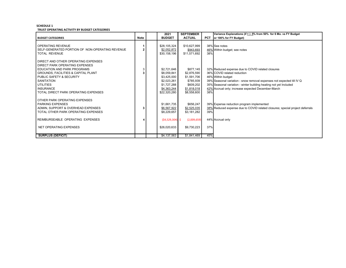## **SCHEDULE 1 TRUST OPERATING ACTIVITY BY BUDGET CATEGORIES**

|                                                                                                                                                                                                                                                    |             | 2021                                                                                           | <b>SEPTEMBER</b>                                                                     |                   | Variance Explanations (if + /- 5% from 50% for 6 Mo. vs FY Budget                                                                                                                                                                                                                                         |
|----------------------------------------------------------------------------------------------------------------------------------------------------------------------------------------------------------------------------------------------------|-------------|------------------------------------------------------------------------------------------------|--------------------------------------------------------------------------------------|-------------------|-----------------------------------------------------------------------------------------------------------------------------------------------------------------------------------------------------------------------------------------------------------------------------------------------------------|
| <b>BUDGET CATEGORIES</b>                                                                                                                                                                                                                           | <b>Note</b> | <b>BUDGET</b>                                                                                  | <b>ACTUAL</b>                                                                        | <b>PCT</b>        | or 100% for FY Budget)                                                                                                                                                                                                                                                                                    |
| <b>OPERATING REVENUE</b><br>SELF-GENERATED PORTION OF NON-OPERATING REVENUE<br><b>TOTAL REVENUE</b>                                                                                                                                                |             | \$28.105.324<br>\$2,052,872<br>\$30,158,196                                                    | \$10,627,999<br>\$943,693<br>\$11,571,692                                            | 38%               | 38% See notes<br>46% Within budget; see notes                                                                                                                                                                                                                                                             |
| DIRECT AND OTHER OPERATING EXPENSES<br>DIRECT PARK OPERATING EXPENSES<br>EDUCATION AND PARK PROGRAMS<br><b>GROUNDS, FACILITIES &amp; CAPITAL PLANT</b><br>PUBLIC SAFETY & SECURITY<br><b>SANITATION</b><br>UTILITIES<br><b>INSURANCE</b>           |             | \$2,721,646<br>\$8,059,841<br>\$3,425,000<br>\$2,023,261<br>\$1,727,288<br>\$4,363,244         | \$877,145<br>\$2,876,590<br>\$1,591,706<br>\$785,939<br>\$609,202<br>\$1,818,018     |                   | 32% Reduced expense due to COVID related closures<br>36% COVID related reduction<br>46% Within budget<br>39% Seasonal variation - snow removal expenses not expected till IV Q<br>35% Seasonal variation - winter building heating not yet Included<br>42% Accrual only; increase expected December-March |
| TOTAL DIRECT PARK OPERATING EXPENSES<br>OTHER PARK OPERATING EXPENSES<br><b>PARKING EXPENSES</b><br>ADMIN, SUPPORT & OVERHEAD EXPENSES<br>TOTAL OTHER PARK OPERATING EXPENSES<br>REIMBURSEABLE OPERATING EXPENSES<br><b>NET OPERATING EXPENSES</b> | з           | \$22,320,280<br>\$1.661.735<br>\$6,567,922<br>\$8,229,657<br>$(54,529,304)$ \$<br>\$26,020,633 | \$8,558,600<br>\$656,247<br>\$2,525,035<br>\$3,181,282<br>(2,009,659)<br>\$9,730,223 | 38%<br>39%<br>37% | 39% Expense reduction program implemented<br>38% Reduced expense due to COVID related closures; special project deferrals<br>44% Accrual only                                                                                                                                                             |
| <b>SURPLUS (DEFICIT)</b>                                                                                                                                                                                                                           |             | \$4,137,563                                                                                    | \$1,841,469                                                                          | 45%               |                                                                                                                                                                                                                                                                                                           |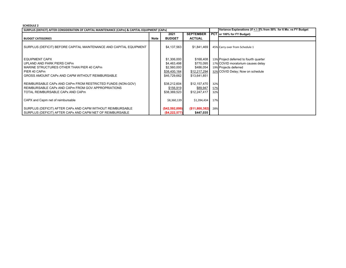## **SCHEDULE 2**

| SURPLUS (DEFICIT) AFTER CONSIDERATION OF CAPITAL MAINTENANCE (CAPm) & CAPITAL EQUIPMENT (CAPx)                                                                                                                                                                                          |             |                                                                                                        |                                                                                                 |            | Variance Explanations (if + /- 5% from 50% for 6 Mo. vs FY Budget                                                                        |
|-----------------------------------------------------------------------------------------------------------------------------------------------------------------------------------------------------------------------------------------------------------------------------------------|-------------|--------------------------------------------------------------------------------------------------------|-------------------------------------------------------------------------------------------------|------------|------------------------------------------------------------------------------------------------------------------------------------------|
|                                                                                                                                                                                                                                                                                         |             | 2021                                                                                                   | <b>SEPTEMBER</b>                                                                                |            | PCT or 100% for FY Budget)                                                                                                               |
| <b>BUDGET CATEGORIES</b>                                                                                                                                                                                                                                                                | <b>Note</b> | <b>BUDGET</b>                                                                                          | <b>ACTUAL</b>                                                                                   |            |                                                                                                                                          |
| SURPLUS (DEFICIT) BEFORE CAPITAL MAINTENANCE AND CAPITAL EQUIPMENT                                                                                                                                                                                                                      |             | \$4,137,563                                                                                            | \$1,841,469                                                                                     |            | 45% Carry over from Schedule 1                                                                                                           |
| <b>EQUIPMENT CAPX</b><br>UPLAND AND PARK PIERS CAPm<br>MARINE STRUCTURES OTHER THAN PIER 40 CAPm<br>PIER 40 CAPm<br>GROSS AMOUNT CAPx AND CAPM WITHOUT REIMBURSABLE<br>REIMBURSABLE CAPx AND CAPm FROM RESTRICTED FUNDS (NON-GOV)<br>REIMBURSABLE CAPx AND CAPm FROM GOV APPROPRIATIONS |             | \$1,306,000<br>\$4,463,498<br>\$2,560,000<br>\$38,400,164<br>\$46,729,662<br>\$38,212,604<br>\$156,919 | \$168,408<br>\$770,095<br>\$486,054<br>\$12,217,294<br>\$13,641,851<br>\$12,157,470<br>\$89,947 | 32%<br>57% | 13% Project deferred to fourth quarter<br>17% COVID moratorium causes delay<br>19% Projects deferred<br>32% COVID Delay; Now on schedule |
| TOTAL REIMBURSABLE CAPX AND CAPm<br>CAPX and Capm net of reimbursable<br>SURPLUS (DEFICIT) AFTER CAPx AND CAPM WITHOUT REIMBURSABLE                                                                                                                                                     |             | \$38.369.523<br>\$8,360,139<br>(\$42,592,099)                                                          | \$12,247,417<br>\$1,394,434<br>$($ \$11,800,382) 28%                                            | 32%<br>17% |                                                                                                                                          |
| SURPLUS (DEFICIT) AFTER CAPx AND CAPM NET OF REIMBURSABLE                                                                                                                                                                                                                               |             | (\$4,222,577)                                                                                          | \$447,035                                                                                       |            |                                                                                                                                          |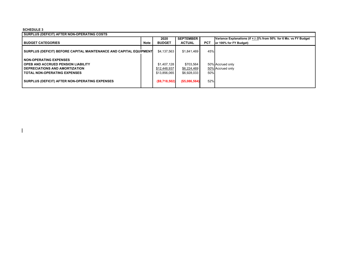## **SCHEDULE 3**

 $\mathbf{I}$ 

| I SURPLUS (DEFICIT) AFTER NON-OPERATING COSTS                      |             |               |                  |            |                                                                   |  |
|--------------------------------------------------------------------|-------------|---------------|------------------|------------|-------------------------------------------------------------------|--|
|                                                                    |             | 2020          | <b>SEPTEMBER</b> |            | Variance Explanations (if + /- 5% from 50% for 6 Mo. vs FY Budget |  |
| <b>BUDGET CATEGORIES</b>                                           | <b>Note</b> | <b>BUDGET</b> | <b>ACTUAL</b>    | <b>PCT</b> | or 100% for FY Budget)                                            |  |
| SURPLUS (DEFICIT) BEFORE CAPITAL MAINTENANCE AND CAPITAL EQUIPMENT |             | \$4,137,563   | \$1,841,469      | 45%        |                                                                   |  |
| I NON-OPERATING EXPENSES                                           |             |               |                  |            |                                                                   |  |
| I OPEB AND ACCRUED PENSION LIABILITY                               |             | \$1.407.128   | \$703,564        |            | 50% Accrued only                                                  |  |
| I DEPRECIATIONS AND AMORTIZATION                                   |             | \$12,448,937  | \$6,224,469      |            | 50% Accrued only                                                  |  |
| I TOTAL NON-OPERATING EXPENSES                                     |             | \$13,856,065  | \$6,928,033      | 50%        |                                                                   |  |
| SURPLUS (DEFICIT) AFTER NON-OPERATING EXPENSES                     |             | (S9,718,502)  | (S5,086,564)     | 52%        |                                                                   |  |